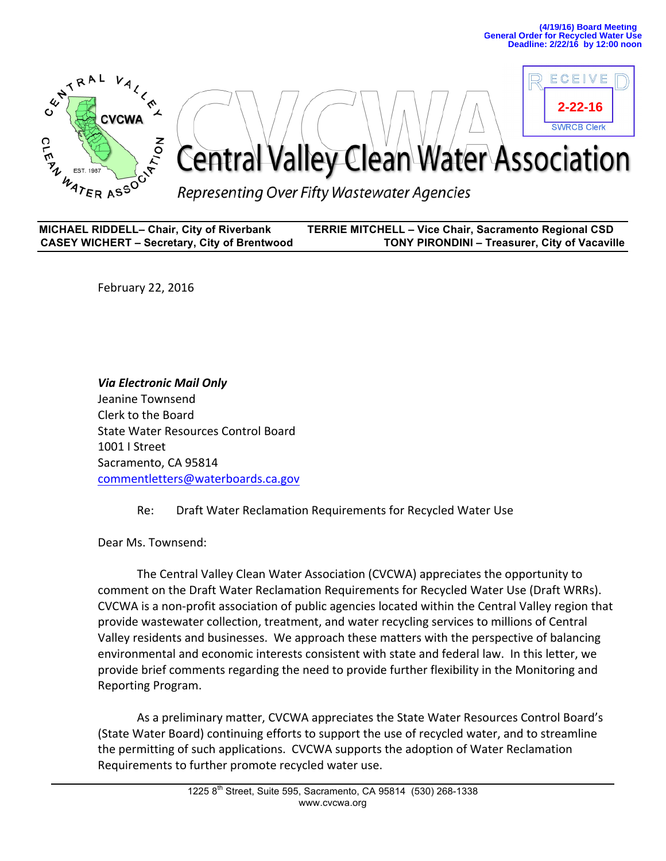

| <b>MICHAEL RIDDELL- Chair, City of Riverbank</b>    | <b>TERRIE MITCHELL - Vice Chair, Sacramento Regional CSD</b> |
|-----------------------------------------------------|--------------------------------------------------------------|
| <b>CASEY WICHERT - Secretary, City of Brentwood</b> | TONY PIRONDINI - Treasurer, City of Vacaville                |

February 22, 2016

*Via Electronic Mail Only* Jeanine Townsend Clerk to the Board State Water Resources Control Board 1001 | Street Sacramento, CA 95814 commentletters@waterboards.ca.gov

Re: Draft Water Reclamation Requirements for Recycled Water Use

Dear Ms. Townsend:

The Central Valley Clean Water Association (CVCWA) appreciates the opportunity to comment on the Draft Water Reclamation Requirements for Recycled Water Use (Draft WRRs). CVCWA is a non-profit association of public agencies located within the Central Valley region that provide wastewater collection, treatment, and water recycling services to millions of Central Valley residents and businesses. We approach these matters with the perspective of balancing environmental and economic interests consistent with state and federal law. In this letter, we provide brief comments regarding the need to provide further flexibility in the Monitoring and Reporting Program.

As a preliminary matter, CVCWA appreciates the State Water Resources Control Board's (State Water Board) continuing efforts to support the use of recycled water, and to streamline the permitting of such applications. CVCWA supports the adoption of Water Reclamation Requirements to further promote recycled water use.